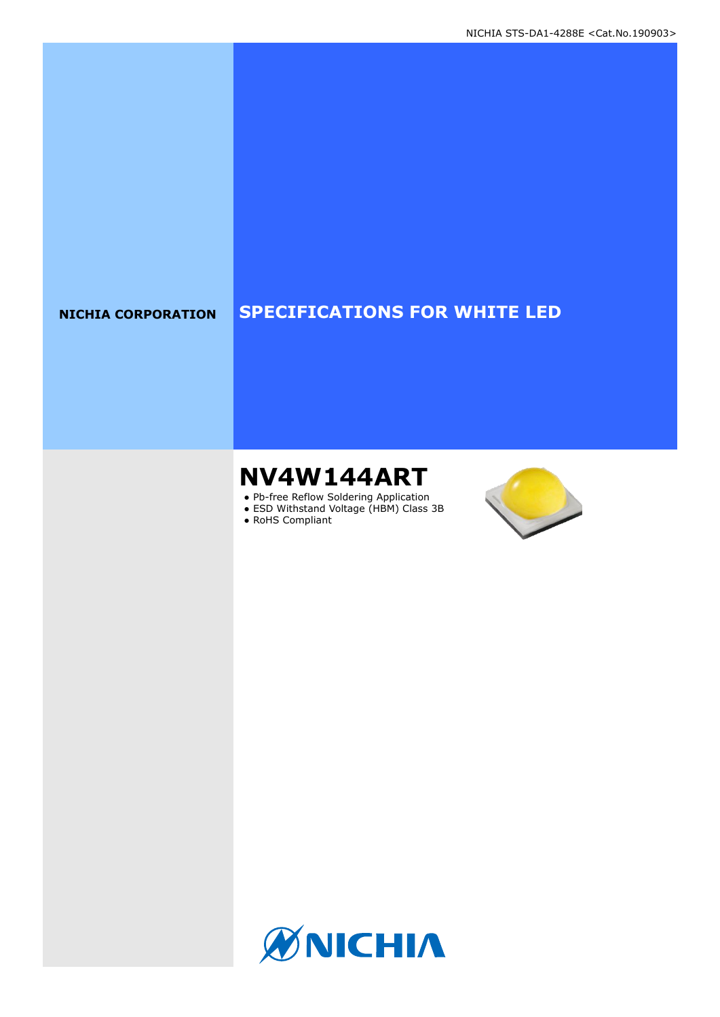### **NICHIA CORPORATION SPECIFICATIONS FOR WHITE LED**

# **NV4W144ART**

- Pb-free Reflow Soldering Application
- ESD Withstand Voltage (HBM) Class 3B
- RoHS Compliant



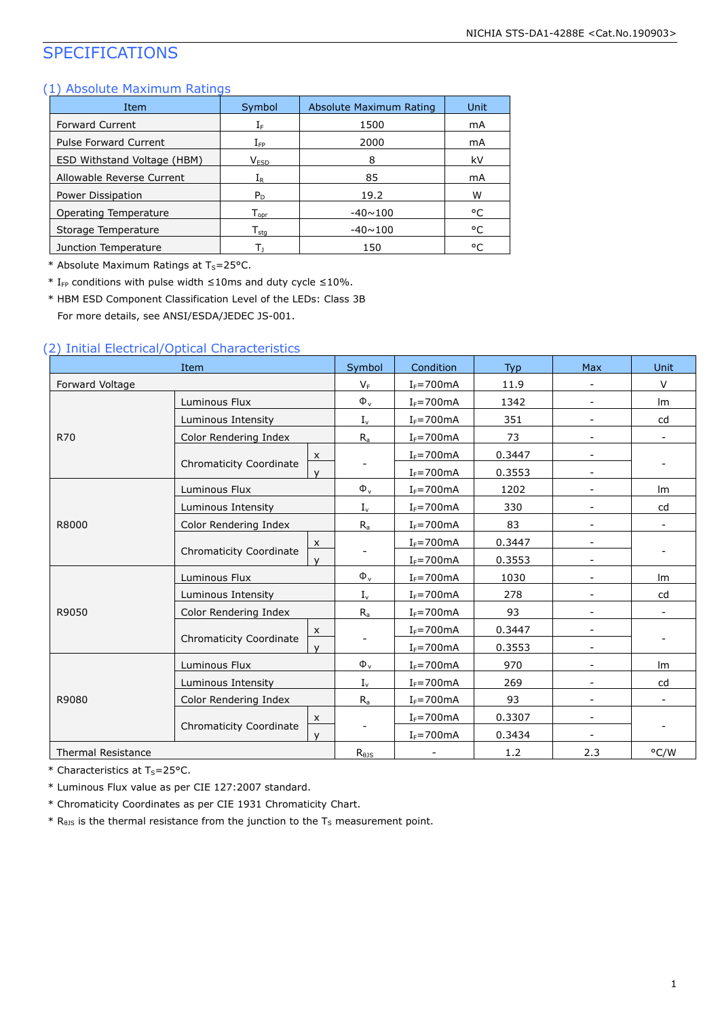### SPECIFICATIONS

#### (1) Absolute Maximum Ratings

| Item                               | Symbol                       | Absolute Maximum Rating | Unit |
|------------------------------------|------------------------------|-------------------------|------|
| <b>Forward Current</b>             | ${\rm I}_{{\rm F}}$          | 1500                    | mA   |
| <b>Pulse Forward Current</b>       | $\rm I_{FP}$                 | 2000                    | mA   |
| <b>ESD Withstand Voltage (HBM)</b> | V <sub>ESD</sub>             | 8                       | kV   |
| Allowable Reverse Current          | ${\rm I}_{{\sf R}}$          | 85                      | mA   |
| Power Dissipation                  | $P_D$                        | 19.2                    | W    |
| Operating Temperature              | ${\mathsf T}_{\textsf{oor}}$ | $-40 \sim 100$          | °C   |
| Storage Temperature                | $T_{\sf stq}$                | $-40 \sim 100$          | °C   |
| Junction Temperature               |                              | 150                     | ۰C   |

\* Absolute Maximum Ratings at  $T_S = 25$ °C.

\*  $I_{FP}$  conditions with pulse width ≤10ms and duty cycle ≤10%.

\* HBM ESD Component Classification Level of the LEDs: Class 3B For more details, see ANSI/ESDA/JEDEC JS-001.

#### (2) Initial Electrical/Optical Characteristics

| Item                      |                                     | Symbol         | Condition      | <b>Typ</b> | <b>Max</b>               | <b>Unit</b>              |
|---------------------------|-------------------------------------|----------------|----------------|------------|--------------------------|--------------------------|
| Forward Voltage           |                                     | $V_F$          | $I_F = 700mA$  | 11.9       |                          | $\vee$                   |
|                           | Luminous Flux                       | $\Phi_{\rm v}$ | $I_F = 700$ mA | 1342       | $\overline{\phantom{a}}$ | Im                       |
|                           | Luminous Intensity                  | $I_{v}$        | $I_F = 700mA$  | 351        | $\overline{\phantom{a}}$ | cd                       |
| <b>R70</b>                | Color Rendering Index               | $R_a$          | $I_F = 700$ mA | 73         | $\overline{\phantom{a}}$ | $\overline{\phantom{0}}$ |
|                           | X                                   |                | $I_F = 700$ mA | 0.3447     | $\overline{\phantom{a}}$ |                          |
|                           | Chromaticity Coordinate<br>$\vee$   |                | $I_F = 700$ mA | 0.3553     | $\overline{\phantom{a}}$ |                          |
|                           | Luminous Flux                       | $\Phi_{\rm v}$ | $I_F = 700$ mA | 1202       |                          | Im                       |
|                           | Luminous Intensity                  | $I_{v}$        | $I_F = 700mA$  | 330        |                          | cd                       |
| R8000                     | Color Rendering Index               | $R_{a}$        | $I_F = 700$ mA | 83         | $\overline{\phantom{a}}$ |                          |
|                           | $\boldsymbol{\mathsf{x}}$           |                | $I_F = 700mA$  | 0.3447     | $\overline{\phantom{a}}$ |                          |
|                           | Chromaticity Coordinate<br>v        |                | $I_F = 700mA$  | 0.3553     |                          |                          |
|                           | Luminous Flux                       | $\Phi_{\rm v}$ | $I_F = 700mA$  | 1030       |                          | Im                       |
|                           | Luminous Intensity                  | $I_{v}$        | $I_F = 700mA$  | 278        | $\overline{\phantom{a}}$ | cd                       |
| R9050                     | Color Rendering Index               | $R_a$          | $I_F = 700mA$  | 93         |                          |                          |
|                           | $\boldsymbol{\mathsf{x}}$           |                | $I_F = 700$ mA | 0.3447     | $\blacksquare$           |                          |
|                           | <b>Chromaticity Coordinate</b><br>v |                | $I_F = 700mA$  | 0.3553     | $\overline{\phantom{a}}$ |                          |
|                           | Luminous Flux                       | $\Phi_{\rm v}$ | $I_F = 700$ mA | 970        | $\overline{\phantom{a}}$ | Im                       |
| R9080                     | Luminous Intensity                  | $I_{v}$        | $I_F = 700mA$  | 269        | $\overline{\phantom{a}}$ | cd                       |
|                           | Color Rendering Index               | $R_{a}$        | $I_F = 700$ mA | 93         | $\overline{\phantom{a}}$ |                          |
|                           | $\boldsymbol{\mathsf{x}}$           |                | $I_F = 700mA$  | 0.3307     | $\overline{\phantom{a}}$ |                          |
|                           | Chromaticity Coordinate<br>v        |                | $I_F = 700$ mA | 0.3434     | $\overline{\phantom{a}}$ |                          |
| <b>Thermal Resistance</b> |                                     | $R_{\theta}$   |                | 1.2        | 2.3                      | °C/W                     |

 $*$  Characteristics at T<sub>s</sub>=25°C.

\* Luminous Flux value as per CIE 127:2007 standard.

\* Chromaticity Coordinates as per CIE 1931 Chromaticity Chart.

 $*$  R<sub>0JS</sub> is the thermal resistance from the junction to the T<sub>S</sub> measurement point.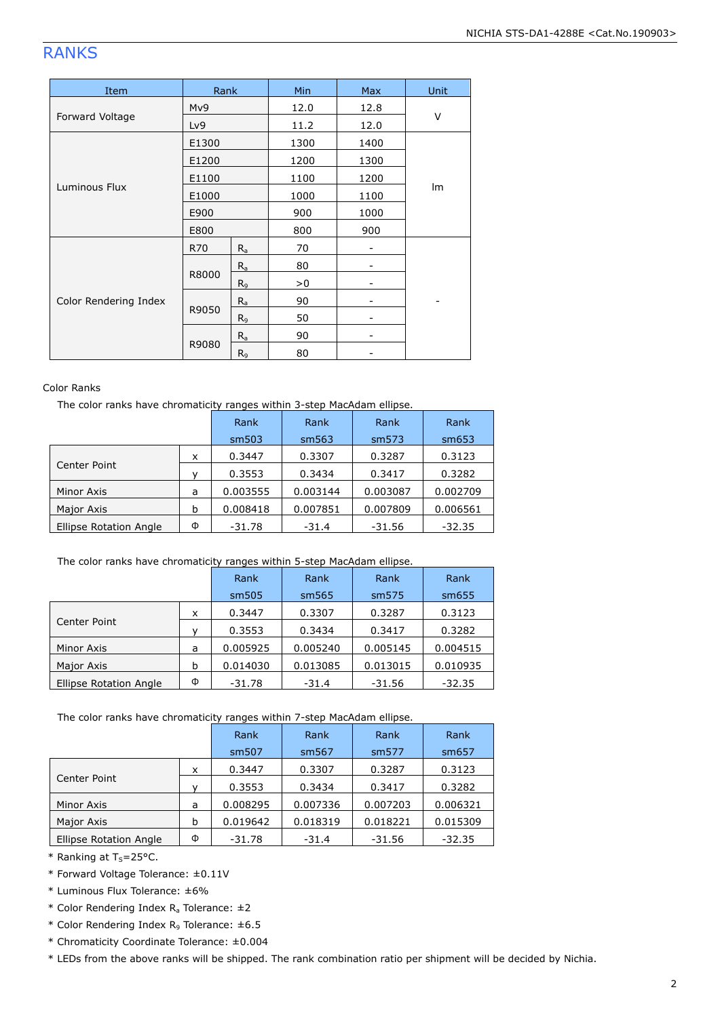## RANKS

| Item                  | Rank  |                | Min  | Max  | Unit |
|-----------------------|-------|----------------|------|------|------|
|                       | Mv9   |                | 12.0 | 12.8 |      |
| Forward Voltage       | Lv9   |                | 11.2 | 12.0 | V    |
|                       | E1300 |                | 1300 | 1400 |      |
|                       | E1200 |                | 1200 | 1300 |      |
|                       | E1100 |                | 1100 | 1200 |      |
| Luminous Flux         | E1000 |                | 1000 | 1100 | Im   |
|                       | E900  |                | 900  | 1000 |      |
|                       | E800  |                | 800  | 900  |      |
|                       | R70   | $R_{a}$        | 70   |      |      |
|                       |       | $R_a$          | 80   |      |      |
| Color Rendering Index | R8000 | R <sub>9</sub> | >0   |      |      |
|                       |       | $R_a$          | 90   |      |      |
|                       | R9050 | R <sub>9</sub> | 50   |      |      |
|                       |       | $R_a$          | 90   |      |      |
|                       | R9080 | R <sub>9</sub> | 80   |      |      |

#### Color Ranks

The color ranks have chromaticity ranges within 3-step MacAdam ellipse.

|   |          | Rank     | Rank     | Rank     |
|---|----------|----------|----------|----------|
|   | sm503    | sm563    | sm573    | sm653    |
| X | 0.3447   | 0.3307   | 0.3287   | 0.3123   |
|   | 0.3553   | 0.3434   | 0.3417   | 0.3282   |
| a | 0.003555 | 0.003144 | 0.003087 | 0.002709 |
| b | 0.008418 | 0.007851 | 0.007809 | 0.006561 |
| Φ | $-31.78$ | $-31.4$  | $-31.56$ | $-32.35$ |
|   |          | Rank     |          |          |

#### The color ranks have chromaticity ranges within 5-step MacAdam ellipse.

|                               |   | Rank     | Rank     | Rank     | Rank     |
|-------------------------------|---|----------|----------|----------|----------|
|                               |   | sm505    | sm565    | sm575    | sm655    |
|                               | x | 0.3447   | 0.3307   | 0.3287   | 0.3123   |
| Center Point                  |   | 0.3553   | 0.3434   | 0.3417   | 0.3282   |
| Minor Axis                    | a | 0.005925 | 0.005240 | 0.005145 | 0.004515 |
| Major Axis                    | b | 0.014030 | 0.013085 | 0.013015 | 0.010935 |
| <b>Ellipse Rotation Angle</b> | Φ | $-31.78$ | $-31.4$  | $-31.56$ | $-32.35$ |

#### The color ranks have chromaticity ranges within 7-step MacAdam ellipse.

|                               |   | Rank     | Rank     | Rank              | Rank     |
|-------------------------------|---|----------|----------|-------------------|----------|
|                               |   | sm507    | sm567    | sm <sub>577</sub> | sm657    |
|                               | x | 0.3447   | 0.3307   | 0.3287            | 0.3123   |
| Center Point                  |   | 0.3553   | 0.3434   | 0.3417            | 0.3282   |
| Minor Axis                    | a | 0.008295 | 0.007336 | 0.007203          | 0.006321 |
| Major Axis                    | b | 0.019642 | 0.018319 | 0.018221          | 0.015309 |
| <b>Ellipse Rotation Angle</b> | Φ | $-31.78$ | $-31.4$  | $-31.56$          | $-32.35$ |

 $*$  Ranking at T<sub>s</sub>=25°C.

\* Forward Voltage Tolerance: ±0.11V

\* Luminous Flux Tolerance: ±6%

- \* Color Rendering Index  $R_a$  Tolerance:  $\pm 2$
- \* Color Rendering Index  $R_9$  Tolerance:  $\pm 6.5$
- \* Chromaticity Coordinate Tolerance: ±0.004

\* LEDs from the above ranks will be shipped. The rank combination ratio per shipment will be decided by Nichia.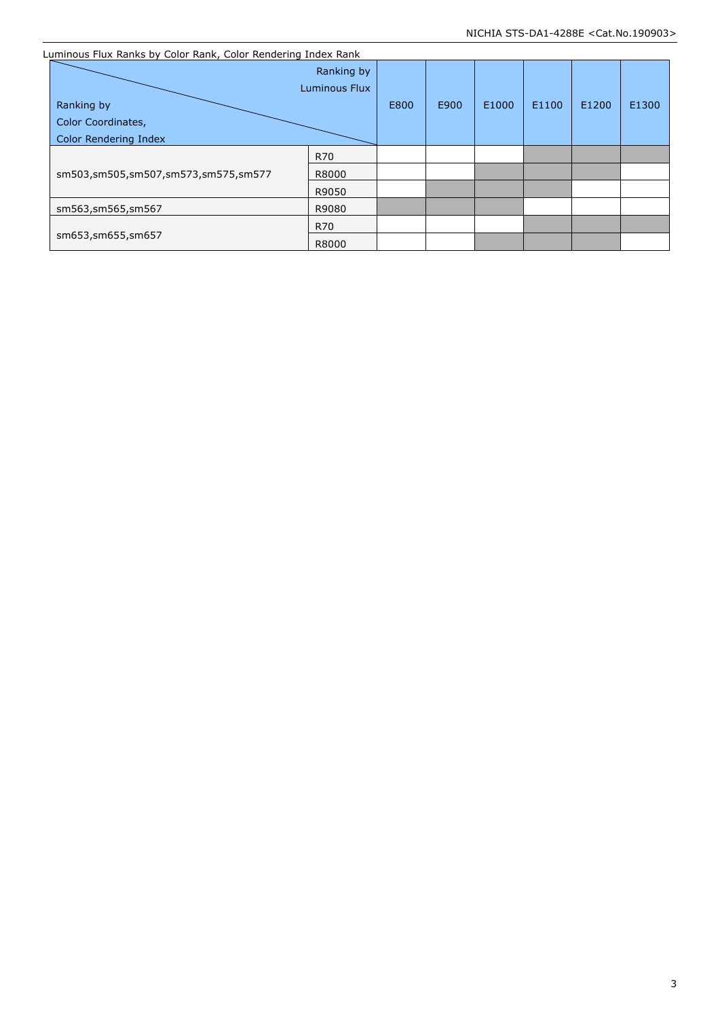| Luminous Flux Ranks by Color Rank, Color Rendering Index Rank |                             |      |      |       |       |       |       |
|---------------------------------------------------------------|-----------------------------|------|------|-------|-------|-------|-------|
|                                                               | Ranking by<br>Luminous Flux |      |      |       |       |       |       |
| Ranking by                                                    |                             | E800 | E900 | E1000 | E1100 | E1200 | E1300 |
| Color Coordinates,                                            |                             |      |      |       |       |       |       |
| Color Rendering Index                                         |                             |      |      |       |       |       |       |
|                                                               | R70                         |      |      |       |       |       |       |
| sm503,sm505,sm507,sm573,sm575,sm577                           | R8000                       |      |      |       |       |       |       |
|                                                               | R9050                       |      |      |       |       |       |       |
| sm563,sm565,sm567                                             | R9080                       |      |      |       |       |       |       |
|                                                               | <b>R70</b>                  |      |      |       |       |       |       |
| sm653,sm655,sm657                                             | R8000                       |      |      |       |       |       |       |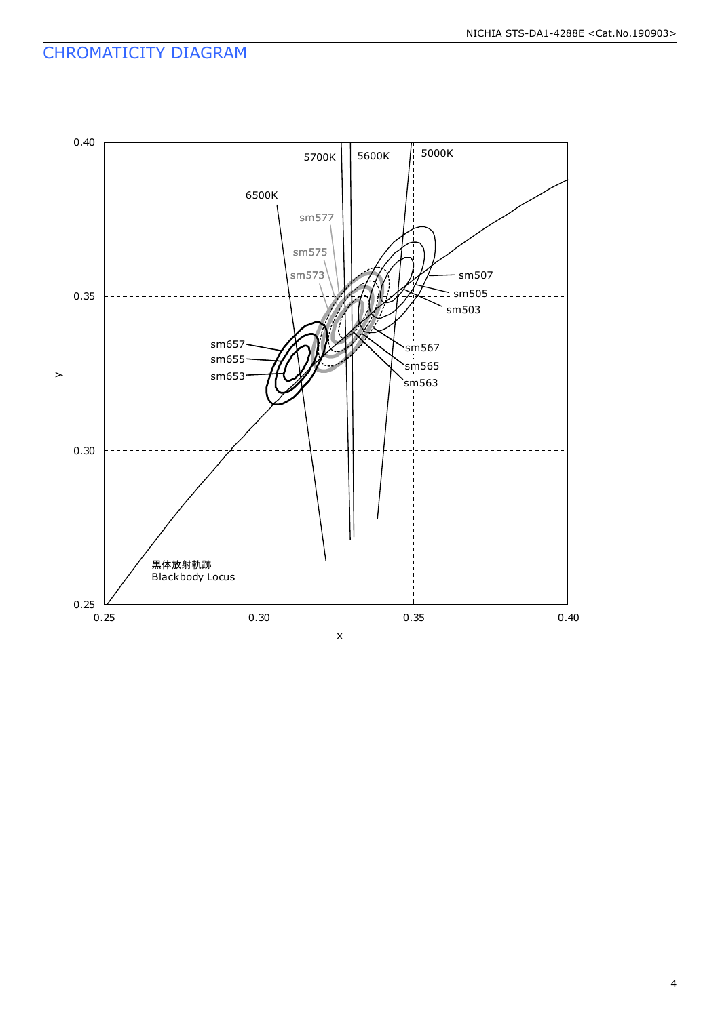### CHROMATICITY DIAGRAM

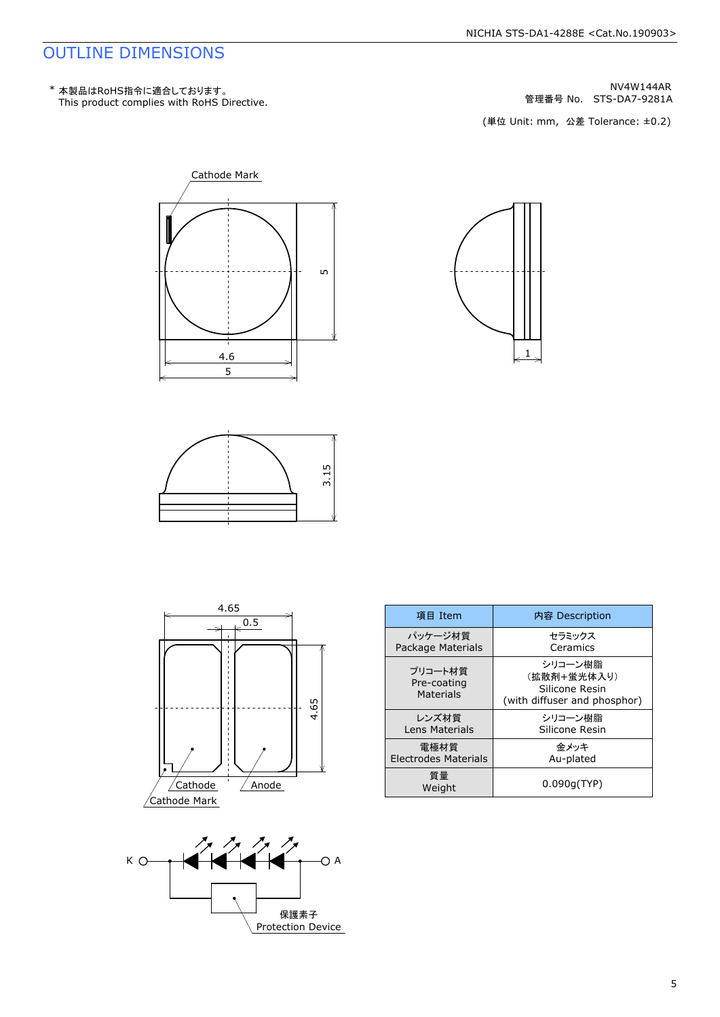### OUTLINE DIMENSIONS

NV4W144AR<br>管理番号 No. STS-DA7-9281A









1



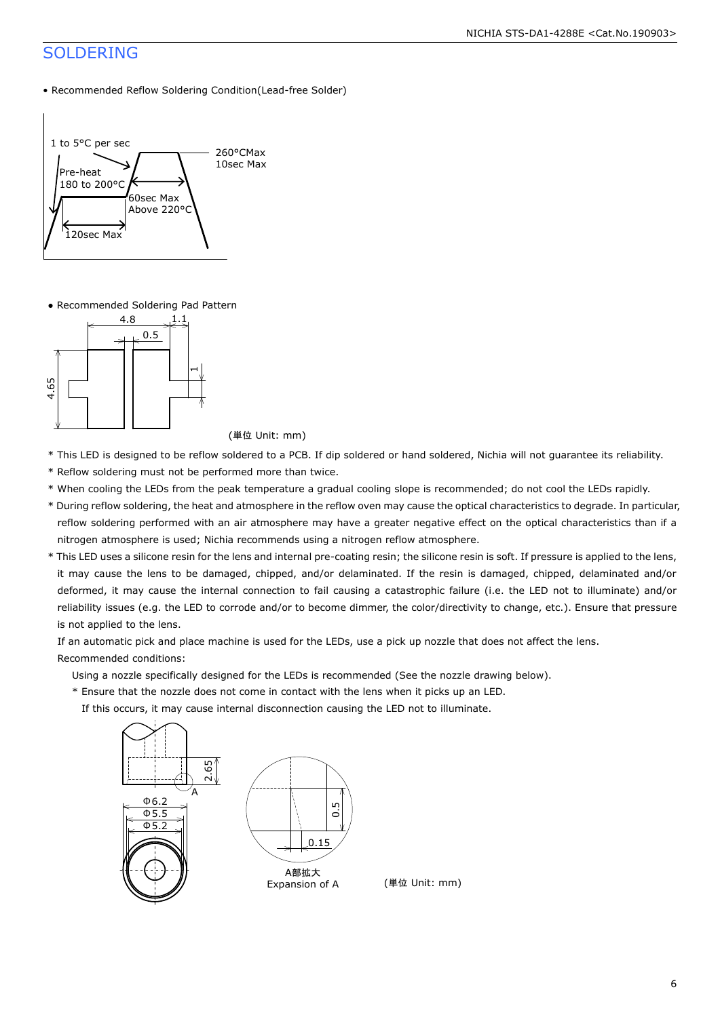### SOLDERING

• Recommended Reflow Soldering Condition(Lead-free Solder)



● Recommended Soldering Pad Pattern



- \* This LED is designed to be reflow soldered to a PCB. If dip soldered or hand soldered, Nichia will not guarantee its reliability.
- \* Reflow soldering must not be performed more than twice.
- \* When cooling the LEDs from the peak temperature a gradual cooling slope is recommended; do not cool the LEDs rapidly.
- \* During reflow soldering, the heat and atmosphere in the reflow oven may cause the optical characteristics to degrade. In particular, reflow soldering performed with an air atmosphere may have a greater negative effect on the optical characteristics than if a nitrogen atmosphere is used; Nichia recommends using a nitrogen reflow atmosphere.
- \* This LED uses a silicone resin for the lens and internal pre-coating resin; the silicone resin is soft. If pressure is applied to the lens, it may cause the lens to be damaged, chipped, and/or delaminated. If the resin is damaged, chipped, delaminated and/or deformed, it may cause the internal connection to fail causing a catastrophic failure (i.e. the LED not to illuminate) and/or reliability issues (e.g. the LED to corrode and/or to become dimmer, the color/directivity to change, etc.). Ensure that pressure is not applied to the lens.

 If an automatic pick and place machine is used for the LEDs, use a pick up nozzle that does not affect the lens. Recommended conditions:

Using a nozzle specifically designed for the LEDs is recommended (See the nozzle drawing below).

\* Ensure that the nozzle does not come in contact with the lens when it picks up an LED.

If this occurs, it may cause internal disconnection causing the LED not to illuminate.

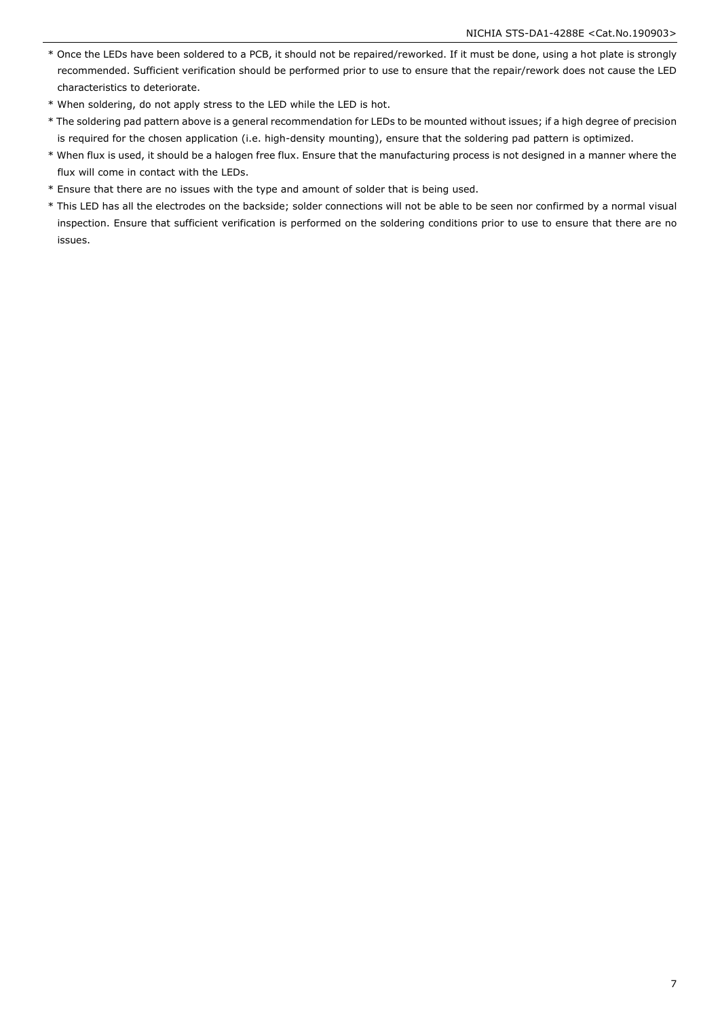- \* Once the LEDs have been soldered to a PCB, it should not be repaired/reworked. If it must be done, using a hot plate is strongly recommended. Sufficient verification should be performed prior to use to ensure that the repair/rework does not cause the LED characteristics to deteriorate.
- \* When soldering, do not apply stress to the LED while the LED is hot.
- \* The soldering pad pattern above is a general recommendation for LEDs to be mounted without issues; if a high degree of precision is required for the chosen application (i.e. high-density mounting), ensure that the soldering pad pattern is optimized.
- \* When flux is used, it should be a halogen free flux. Ensure that the manufacturing process is not designed in a manner where the flux will come in contact with the LEDs.
- \* Ensure that there are no issues with the type and amount of solder that is being used.
- \* This LED has all the electrodes on the backside; solder connections will not be able to be seen nor confirmed by a normal visual inspection. Ensure that sufficient verification is performed on the soldering conditions prior to use to ensure that there are no issues.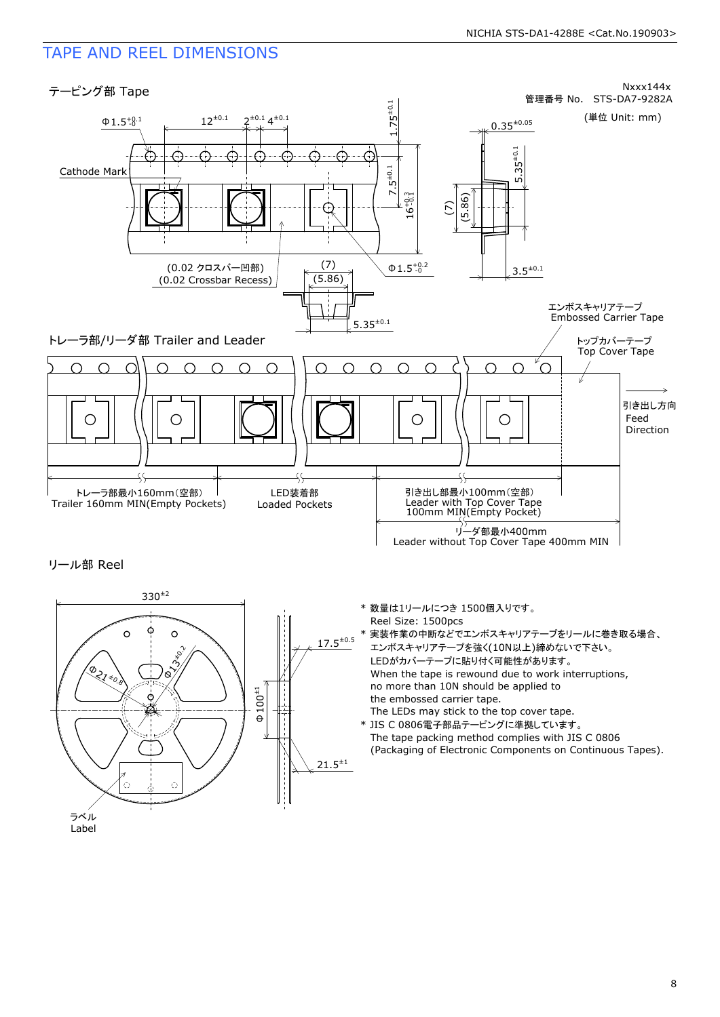### TAPE AND REEL DIMENSIONS



リール部 Reel



- \* 数量は1リールにつき 1500個入りです。 Reel Size: 1500pcs
- 実装作業の中断などでエンボスキャリアテープをリールに巻き取る場合、 エンボスキャリアテープを強く(10N以上)締めないで下さい。 LEDがカバーテープに貼り付く可能性があります。 When the tape is rewound due to work interruptions, no more than 10N should be applied to the embossed carrier tape. The LEDs may stick to the top cover tape.
- \* JIS C 0806電子部品テーピングに準拠しています。 The tape packing method complies with JIS C 0806 (Packaging of Electronic Components on Continuous Tapes).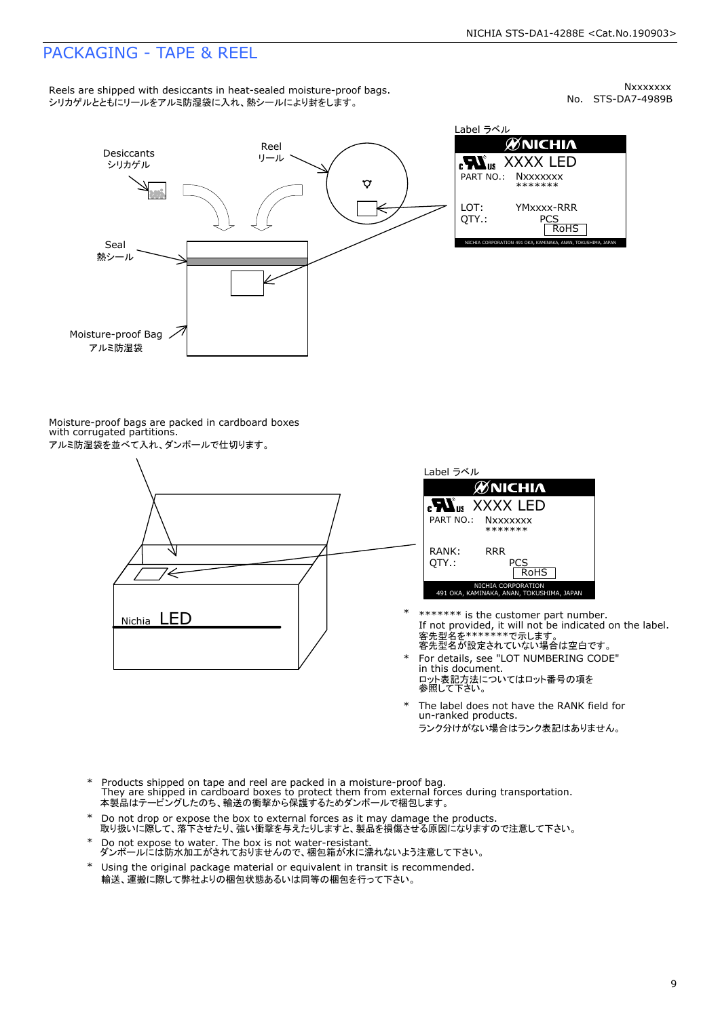### PACKAGING - TAPE & REEL

Nxxxxxx<br>No. STS-DA7-4989B



Label ラベル  $\begin{array}{lll} \textbf{cN}_{\texttt{US}} & \text{XXXX} & \text{LED} \\ \texttt{PART NO.:} & \texttt{Nxxxxxxx} \\ \texttt{LOT:} & \texttt{YMXxxx-RRR} \\ \texttt{QTY.:} & \texttt{PCS} \\ \texttt{ROHS} & \texttt{ROHS} \end{array}$ 

Moisture-proof bags are packed in cardboard boxes with corrugated partitions. アルミ防湿袋を並べて入れ、ダンボールで仕切ります。





- \*\*\*\*\*\*\* is the customer part number.<br>If not provided, it will not be indicated on the label.<br>客先型名が設定されていない場合は空白です。
- For details, see "LOT NUMBERING CODE" in this document. m ems assament.<br>ロット表記方法についてはロット番号の項を<br>参照して下さい。 \*
- The label does not have the RANK field for un-ranked products. ランク分けがない場合はランク表記はありません。 \*
- Products shipped on tape and reel are packed in a moisture-proof bag. They are shipped in cardboard boxes to protect them from external forces during transportation. 本製品はテーピングしたのち、輸送の衝撃から保護するためダンボールで梱包します。 \*
- Do not drop or expose the box to external forces as it may damage the products. 取り扱いに際して、落下させたり、強い衝撃を与えたりしますと、製品を損傷させる原因になりますので注意して下さい。 \*
- --------<br>Do not expose to water. The box is not water-resistant.<br>ダンボールには防水加工がされておりませんので、梱包箱が水に濡れないよう注意して下さい。
- 
- \* Using the original package material or equivalent in transit is recommended. 輸送、運搬に際して弊社よりの梱包状態あるいは同等の梱包を行って下さい。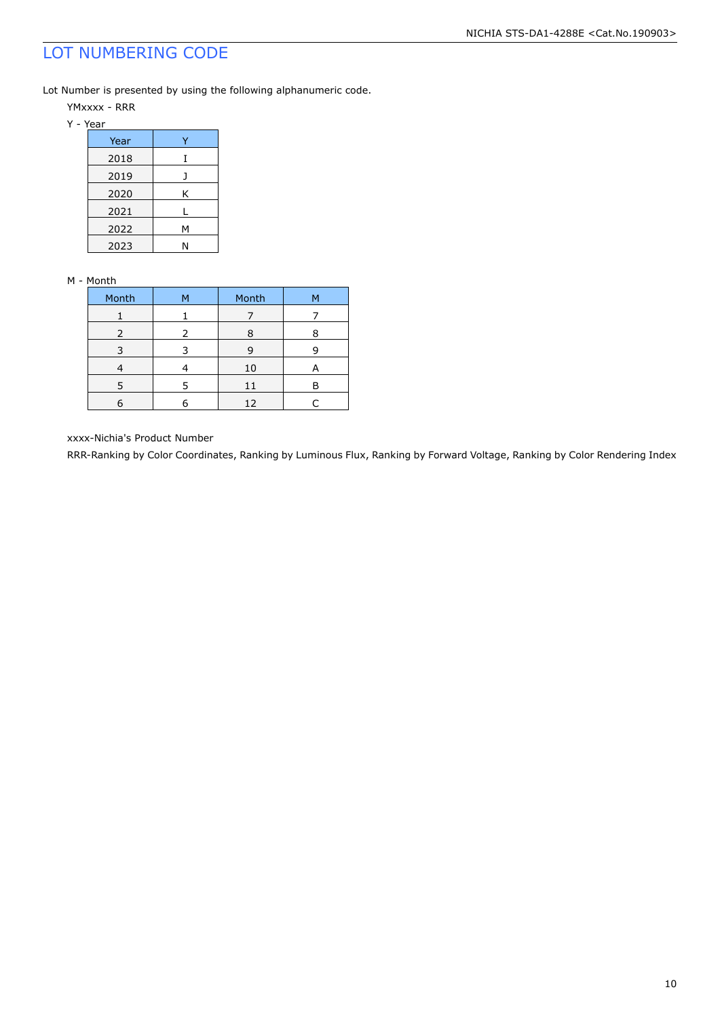### LOT NUMBERING CODE

Lot Number is presented by using the following alphanumeric code.

- YMxxxx RRR
- Y Year

| Year |   |
|------|---|
| 2018 |   |
| 2019 |   |
| 2020 | Κ |
| 2021 |   |
| 2022 | Μ |
| 2023 | N |

#### M - Month

| Month         | м | Month | м |
|---------------|---|-------|---|
|               |   |       |   |
| $\mathcal{P}$ | 2 |       |   |
|               |   | ч     |   |
|               |   | 10    |   |
| 5             | 5 | 11    | в |
|               |   | 12    |   |

xxxx-Nichia's Product Number

RRR-Ranking by Color Coordinates, Ranking by Luminous Flux, Ranking by Forward Voltage, Ranking by Color Rendering Index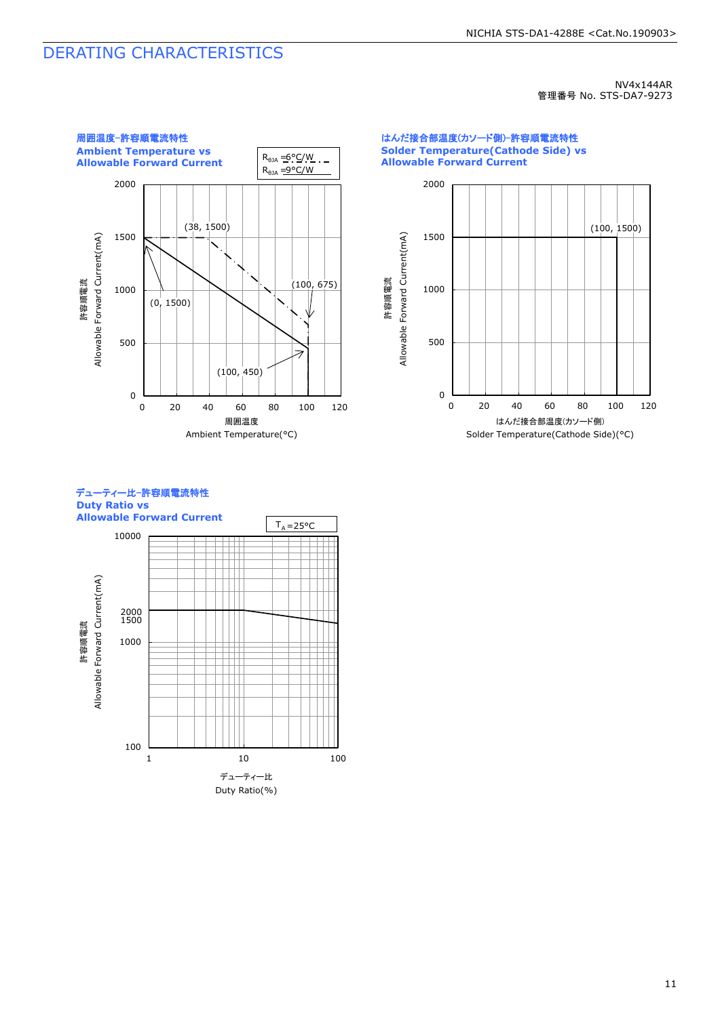### DERATING CHARACTERISTICS

#### NV4x144AR 管理番号 No. STS-DA7-9273







11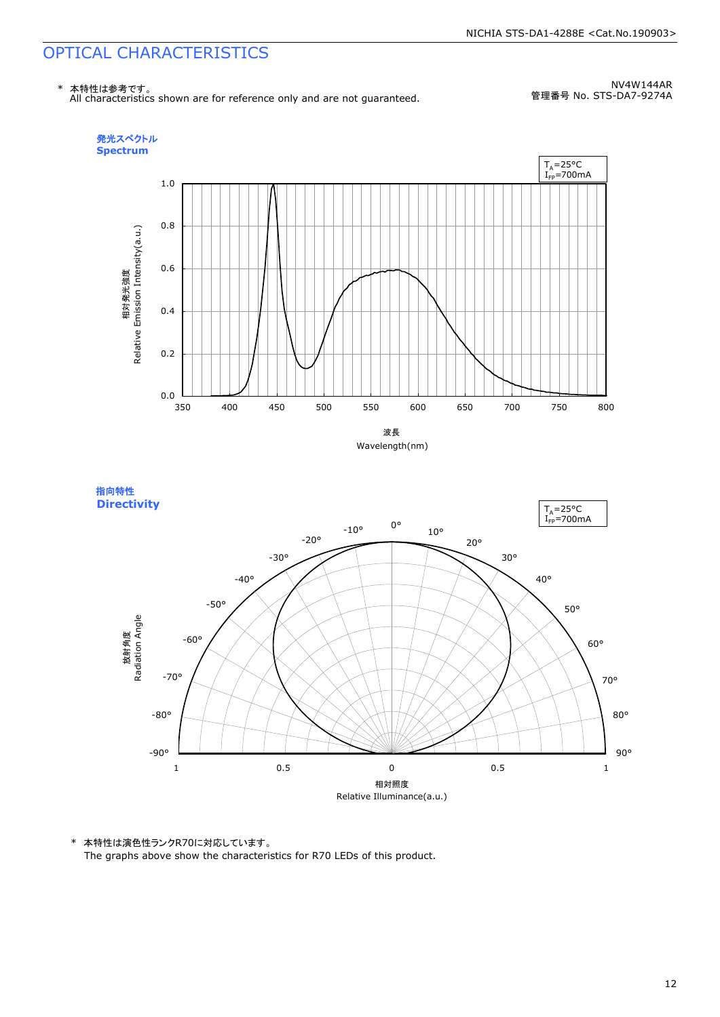

NV4W144AR 管理番号 No. STS-DA7-9274A





\* 本特性は演色性ランクR70に対応しています。

The graphs above show the characteristics for R70 LEDs of this product.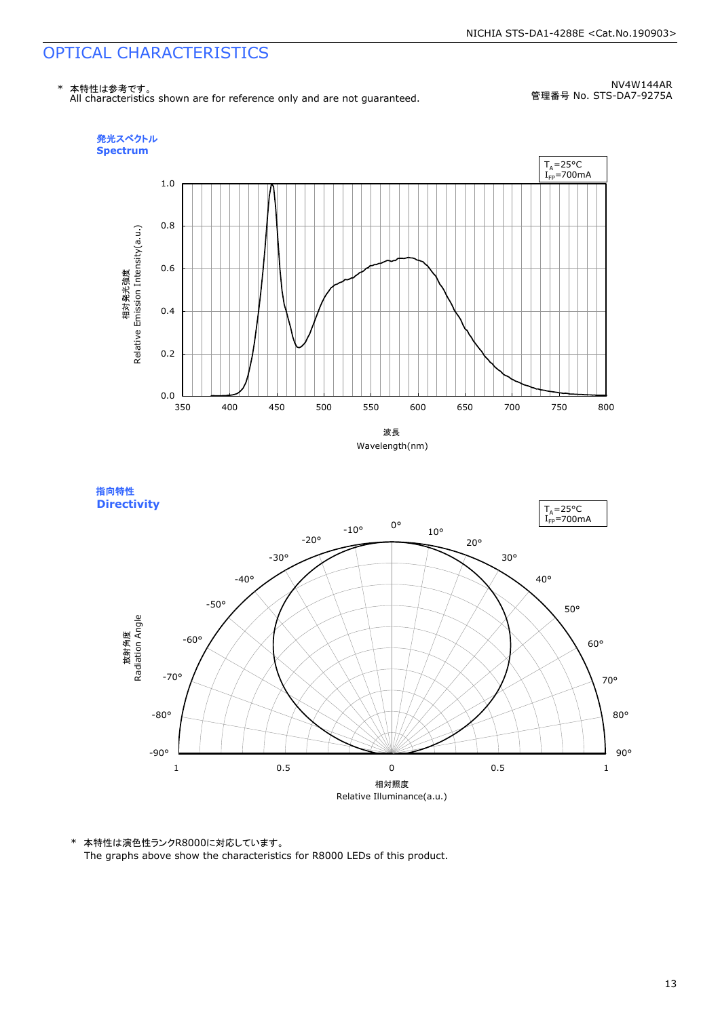

NV4W144AR 管理番号 No. STS-DA7-9275A





\* 本特性は演色性ランクR8000に対応しています。

The graphs above show the characteristics for R8000 LEDs of this product.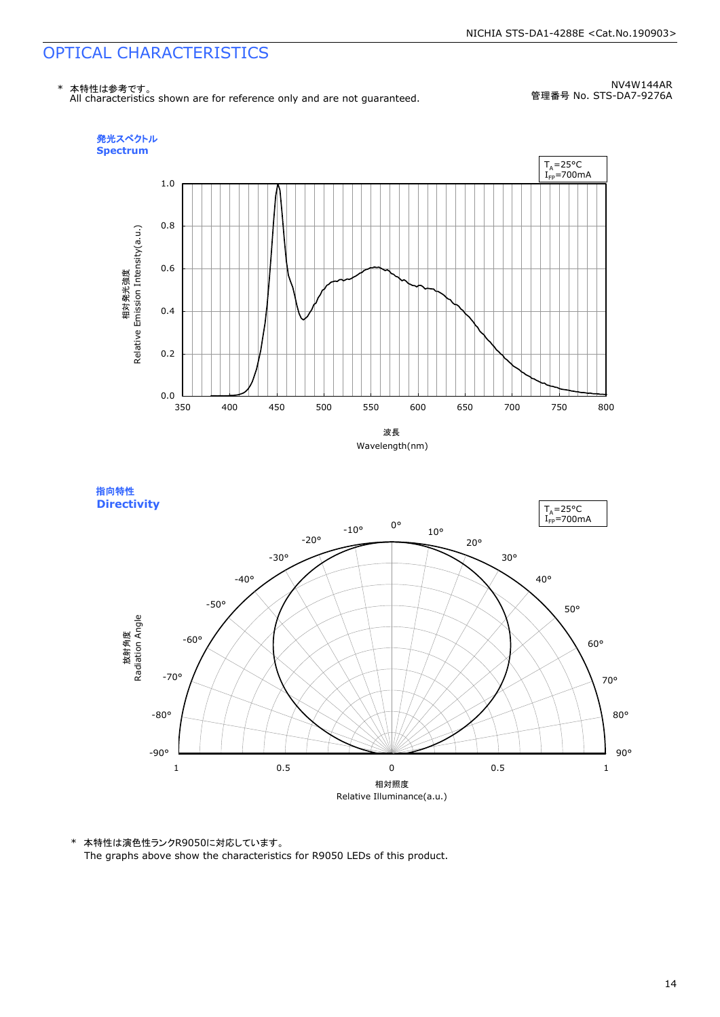

NV4W144AR 管理番号 No. STS-DA7-9276A





\* 本特性は演色性ランクR9050に対応しています。

The graphs above show the characteristics for R9050 LEDs of this product.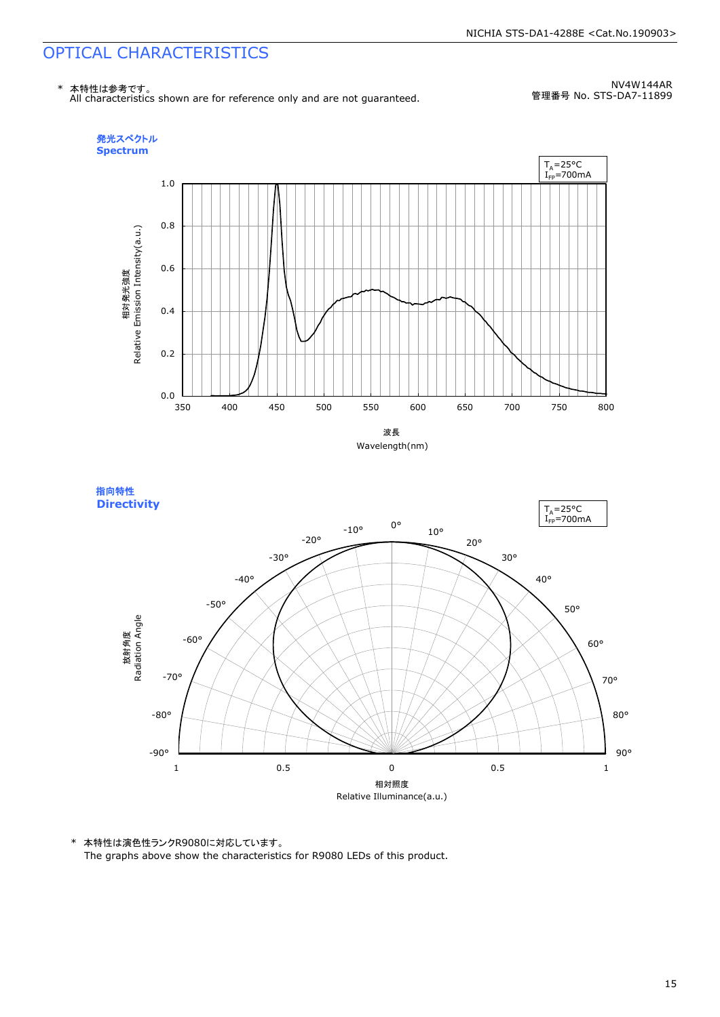

NV4W144AR 管理番号 No. STS-DA7-11899





\* 本特性は演色性ランクR9080に対応しています。

The graphs above show the characteristics for R9080 LEDs of this product.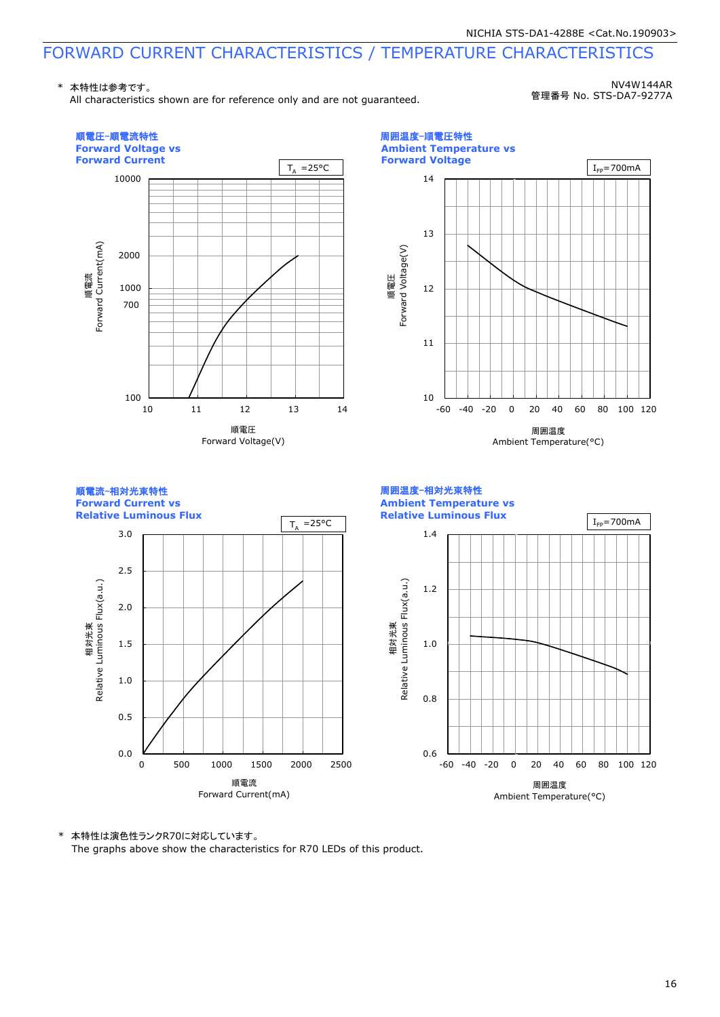\* 本特性は参考です。

All characteristics shown are for reference only and are not guaranteed.

NV4W144AR 管理番号 No. STS-DA7-9277A



\* 本特性は演色性ランクR70に対応しています。

The graphs above show the characteristics for R70 LEDs of this product.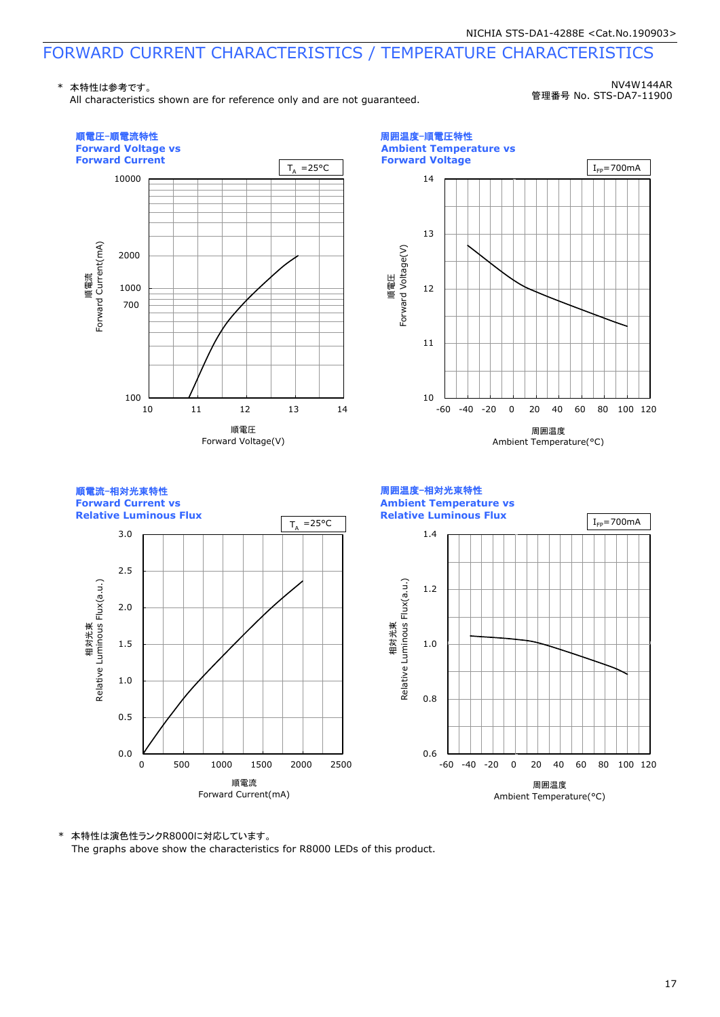\* 本特性は参考です。

All characteristics shown are for reference only and are not guaranteed.

NV4W144AR 管理番号 No. STS-DA7-11900



\* 本特性は演色性ランクR8000に対応しています。

The graphs above show the characteristics for R8000 LEDs of this product.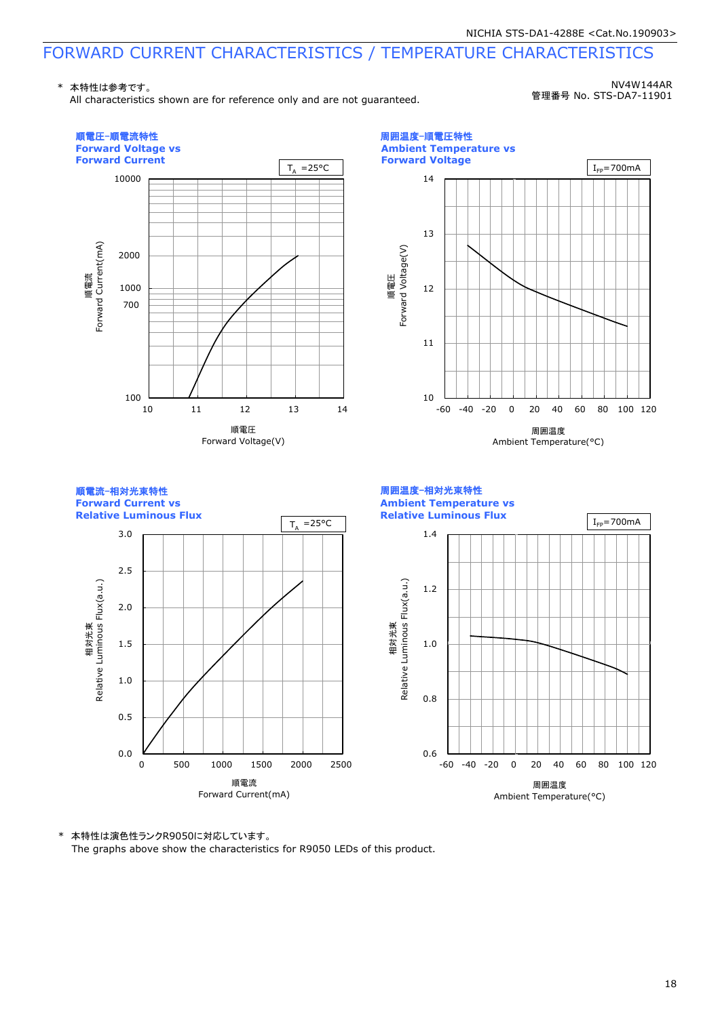\* 本特性は参考です。

All characteristics shown are for reference only and are not guaranteed.

NV4W144AR 管理番号 No. STS-DA7-11901



\* 本特性は演色性ランクR9050に対応しています。

The graphs above show the characteristics for R9050 LEDs of this product.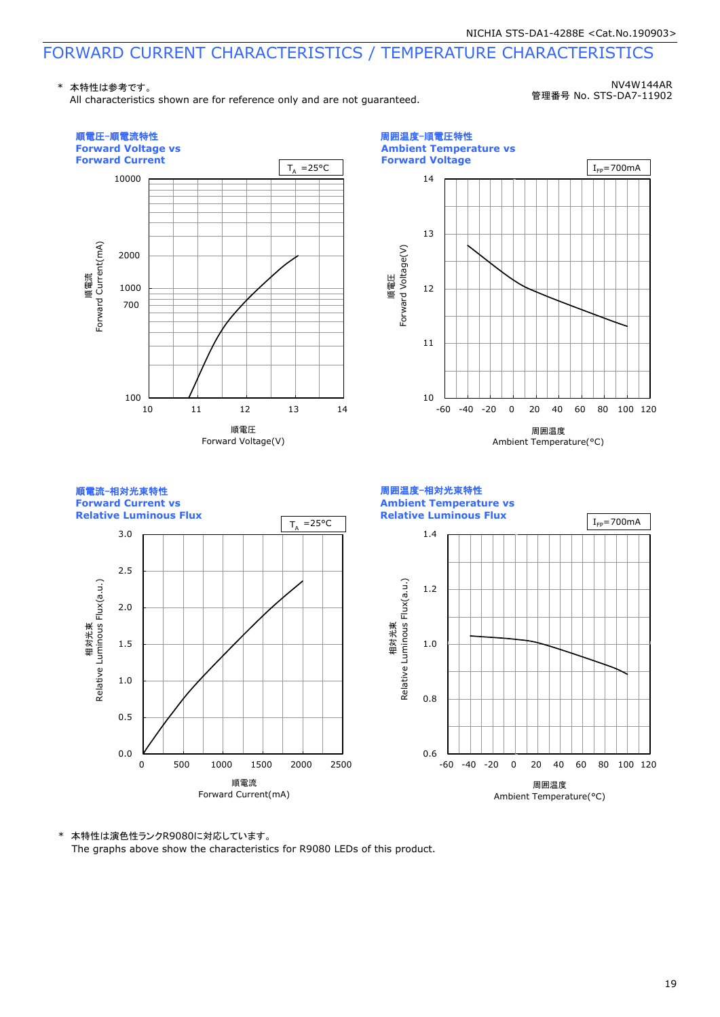\* 本特性は参考です。

All characteristics shown are for reference only and are not guaranteed.

NV4W144AR 管理番号 No. STS-DA7-11902



\* 本特性は演色性ランクR9080に対応しています。

The graphs above show the characteristics for R9080 LEDs of this product.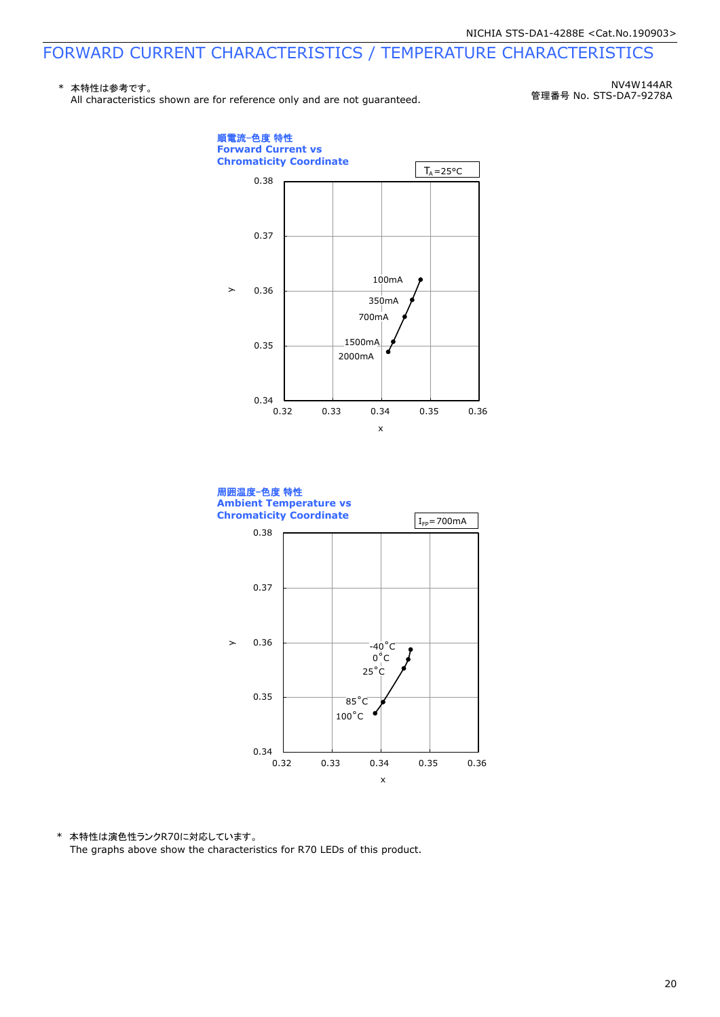#### \* 本特性は参考です。 All characteristics shown are for reference only and are not guaranteed.

NV4W144AR 管理番号 No. STS-DA7-9278A





\* 本特性は演色性ランクR70に対応しています。 The graphs above show the characteristics for R70 LEDs of this product.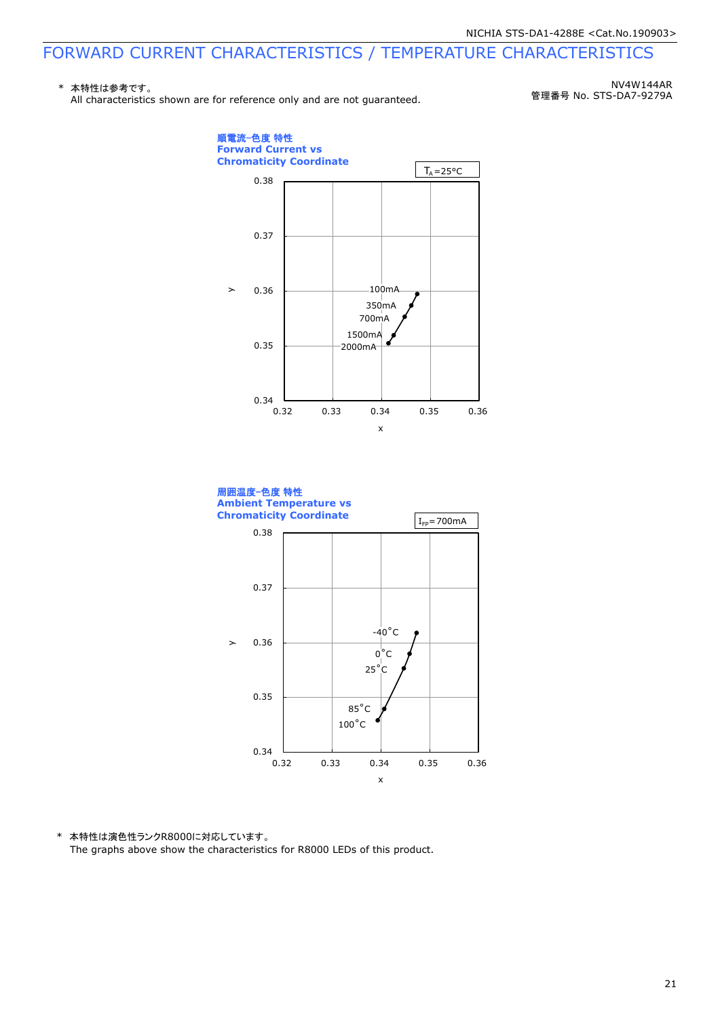#### \* 本特性は参考です。 All characteristics shown are for reference only and are not quaranteed.

NV4W144AR 管理番号 No. STS-DA7-9279A





\* 本特性は演色性ランクR8000に対応しています。 The graphs above show the characteristics for R8000 LEDs of this product.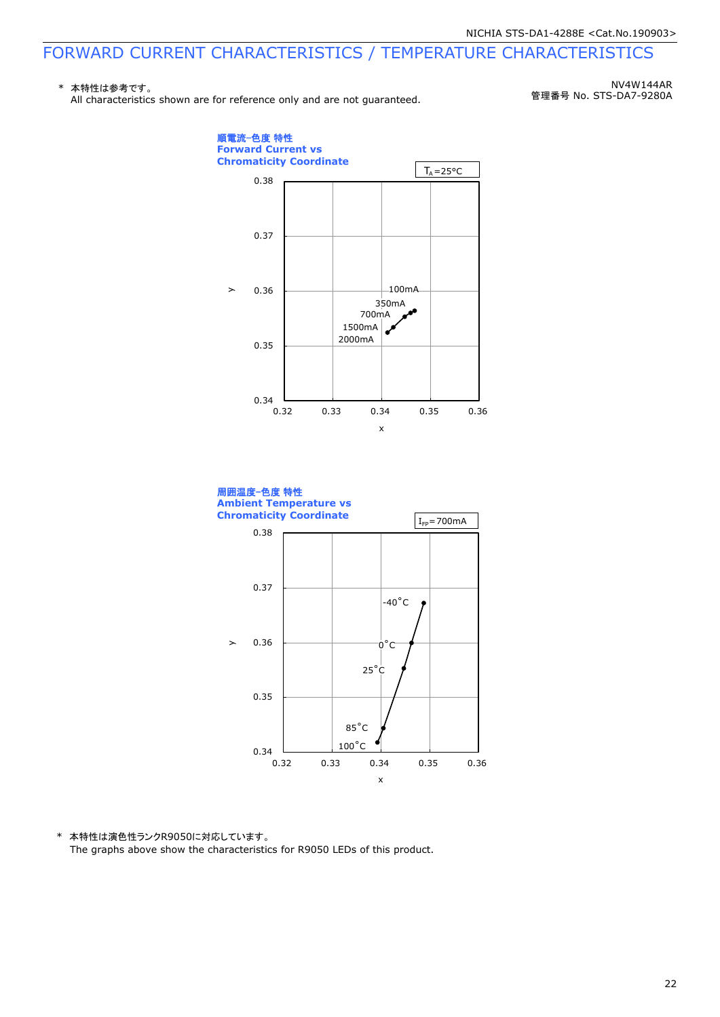#### \* 本特性は参考です。 All characteristics shown are for reference only and are not quaranteed.

NV4W144AR 管理番号 No. STS-DA7-9280A





\* 本特性は演色性ランクR9050に対応しています。 The graphs above show the characteristics for R9050 LEDs of this product.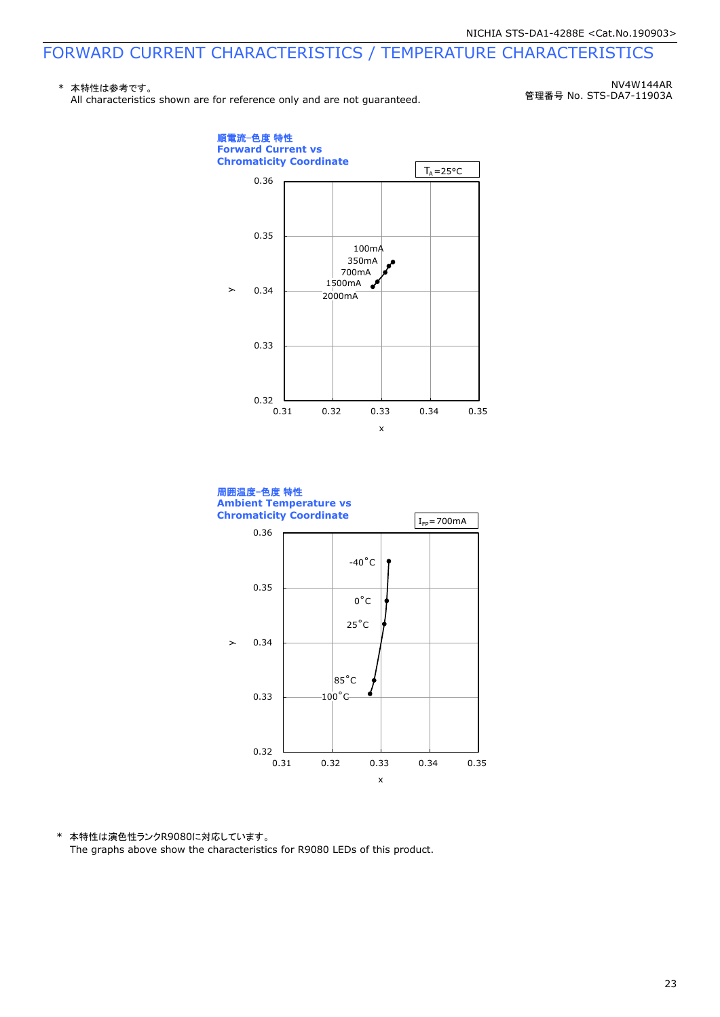#### \* 本特性は参考です。 All characteristics shown are for reference only and are not quaranteed.

NV4W144AR 管理番号 No. STS-DA7-11903A





\* 本特性は演色性ランクR9080に対応しています。 The graphs above show the characteristics for R9080 LEDs of this product.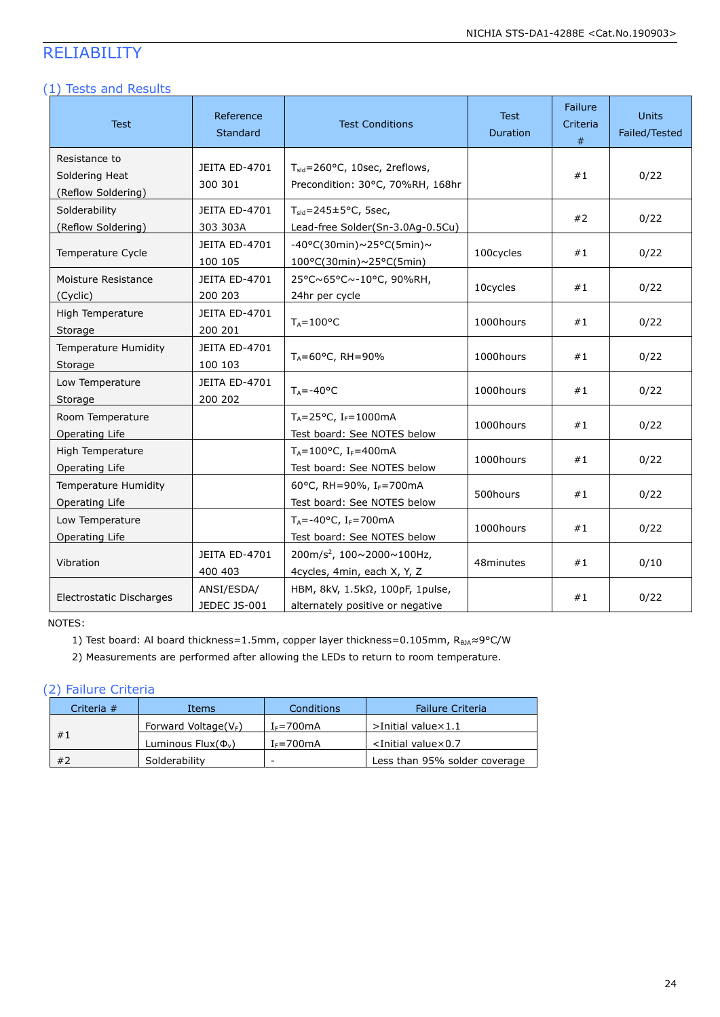### RELIABILITY

#### (1) Tests and Results

| <b>Test</b>                                           | Reference<br>Standard           | <b>Test Conditions</b>                                                        | <b>Test</b><br>Duration | Failure<br>Criteria<br># | <b>Units</b><br>Failed/Tested |
|-------------------------------------------------------|---------------------------------|-------------------------------------------------------------------------------|-------------------------|--------------------------|-------------------------------|
| Resistance to<br>Soldering Heat<br>(Reflow Soldering) | JEITA ED-4701<br>300 301        | T <sub>sld</sub> =260°C, 10sec, 2reflows,<br>Precondition: 30°C, 70%RH, 168hr |                         | #1                       | 0/22                          |
| Solderability<br>(Reflow Soldering)                   | JEITA ED-4701<br>303 303A       | $T_{\text{std}}$ =245±5°C, 5sec,<br>Lead-free Solder(Sn-3.0Ag-0.5Cu)          |                         | #2                       | 0/22                          |
| Temperature Cycle                                     | JEITA ED-4701<br>100 105        | $-40^{\circ}$ C(30min)~25°C(5min)~<br>$100^{\circ}$ C(30min)~25°C(5min)       | 100cycles               | #1                       | 0/22                          |
| Moisture Resistance<br>(Cyclic)                       | JEITA ED-4701<br>200 203        | 25°C~65°C~-10°C, 90%RH,<br>24hr per cycle                                     | 10cycles                | #1                       | 0/22                          |
| High Temperature<br>Storage                           | <b>JEITA ED-4701</b><br>200 201 | $T_A = 100^{\circ}C$                                                          | 1000hours               | #1                       | 0/22                          |
| <b>Temperature Humidity</b><br>Storage                | <b>JEITA ED-4701</b><br>100 103 | $T_A = 60^{\circ}$ C, RH = 90%                                                | 1000hours               | #1                       | 0/22                          |
| Low Temperature<br>Storage                            | <b>JEITA ED-4701</b><br>200 202 | $T_A = -40$ °C                                                                | 1000hours               | #1                       | 0/22                          |
| Room Temperature<br>Operating Life                    |                                 | $T_A = 25^{\circ}C$ , I <sub>F</sub> =1000mA<br>Test board: See NOTES below   | 1000hours               | #1                       | 0/22                          |
| High Temperature<br>Operating Life                    |                                 | $T_A = 100$ °C, I <sub>F</sub> =400mA<br>Test board: See NOTES below          | 1000hours               | #1                       | 0/22                          |
| <b>Temperature Humidity</b><br>Operating Life         |                                 | 60°C, RH=90%, IF=700mA<br>Test board: See NOTES below                         | 500hours                | #1                       | 0/22                          |
| Low Temperature<br>Operating Life                     |                                 | $T_A = -40$ °C, I <sub>F</sub> =700mA<br>Test board: See NOTES below          | 1000hours               | #1                       | 0/22                          |
| Vibration                                             | <b>JEITA ED-4701</b><br>400 403 | 200m/s <sup>2</sup> , 100~2000~100Hz,<br>4cycles, 4min, each X, Y, Z          | 48minutes               | #1                       | 0/10                          |
| Electrostatic Discharges                              | ANSI/ESDA/<br>JEDEC JS-001      | HBM, 8kV, 1.5kΩ, 100pF, 1pulse,<br>alternately positive or negative           |                         | #1                       | 0/22                          |

NOTES:

1) Test board: Al board thickness=1.5mm, copper layer thickness=0.105mm, R<sub>θJA</sub>≈9°C/W

2) Measurements are performed after allowing the LEDs to return to room temperature.

#### (2) Failure Criteria

| Criteria $#$ | Items                      | Conditions     | <b>Failure Criteria</b>          |
|--------------|----------------------------|----------------|----------------------------------|
|              | Forward Voltage( $V_F$ )   | $I_F = 700$ mA | $>$ Initial value $\times$ 1.1   |
| #1           | Luminous Flux $(\Phi_{v})$ | $I_F = 700$ mA | $\le$ Initial value $\times$ 0.7 |
| #2           | Solderability              | -              | Less than 95% solder coverage    |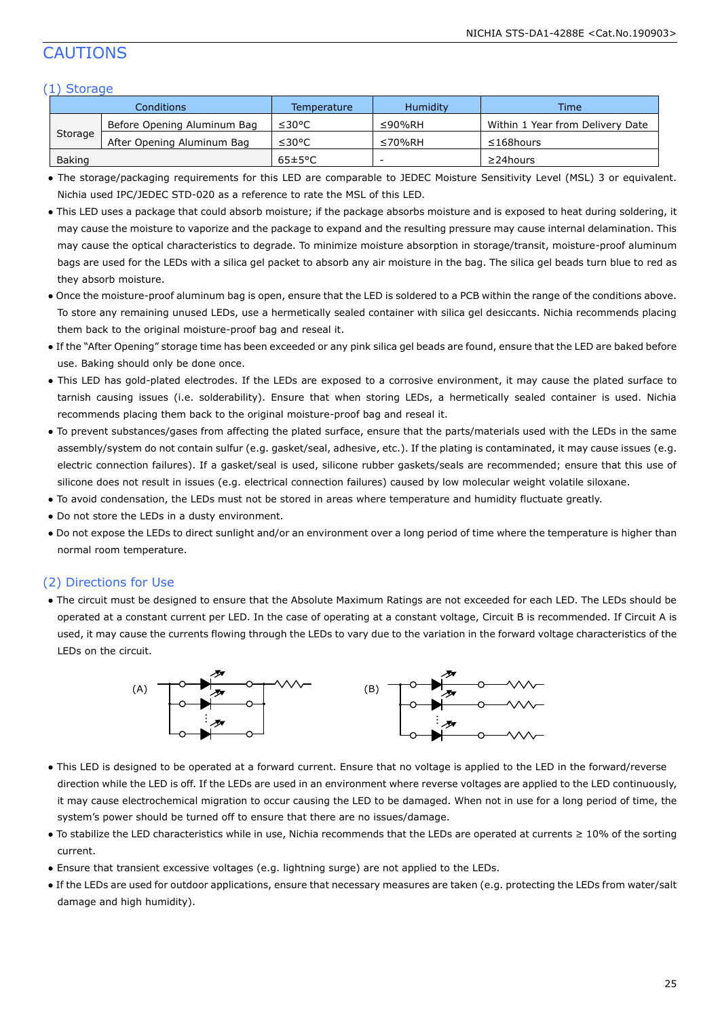### CAUTIONS

#### (1) Storage

| Conditions |                             | Temperature          | Humidity                 | Time                             |  |  |  |
|------------|-----------------------------|----------------------|--------------------------|----------------------------------|--|--|--|
|            | Before Opening Aluminum Bag | ≤30°C                | $\leq$ 90%RH             | Within 1 Year from Delivery Date |  |  |  |
| Storage    | After Opening Aluminum Bag  | ≤30°C                | ≤70%RH                   | $\leq$ 168hours                  |  |  |  |
| Baking     |                             | $65 \pm 5^{\circ}$ C | $\overline{\phantom{a}}$ | $\geq$ 24 hours                  |  |  |  |

● The storage/packaging requirements for this LED are comparable to JEDEC Moisture Sensitivity Level (MSL) 3 or equivalent. Nichia used IPC/JEDEC STD-020 as a reference to rate the MSL of this LED.

- This LED uses a package that could absorb moisture; if the package absorbs moisture and is exposed to heat during soldering, it may cause the moisture to vaporize and the package to expand and the resulting pressure may cause internal delamination. This may cause the optical characteristics to degrade. To minimize moisture absorption in storage/transit, moisture-proof aluminum bags are used for the LEDs with a silica gel packet to absorb any air moisture in the bag. The silica gel beads turn blue to red as they absorb moisture.
- Once the moisture-proof aluminum bag is open, ensure that the LED is soldered to a PCB within the range of the conditions above. To store any remaining unused LEDs, use a hermetically sealed container with silica gel desiccants. Nichia recommends placing them back to the original moisture-proof bag and reseal it.
- If the "After Opening" storage time has been exceeded or any pink silica gel beads are found, ensure that the LED are baked before use. Baking should only be done once.
- This LED has gold-plated electrodes. If the LEDs are exposed to a corrosive environment, it may cause the plated surface to tarnish causing issues (i.e. solderability). Ensure that when storing LEDs, a hermetically sealed container is used. Nichia recommends placing them back to the original moisture-proof bag and reseal it.
- To prevent substances/gases from affecting the plated surface, ensure that the parts/materials used with the LEDs in the same assembly/system do not contain sulfur (e.g. gasket/seal, adhesive, etc.). If the plating is contaminated, it may cause issues (e.g. electric connection failures). If a gasket/seal is used, silicone rubber gaskets/seals are recommended; ensure that this use of silicone does not result in issues (e.g. electrical connection failures) caused by low molecular weight volatile siloxane.
- To avoid condensation, the LEDs must not be stored in areas where temperature and humidity fluctuate greatly.
- Do not store the LEDs in a dusty environment.
- Do not expose the LEDs to direct sunlight and/or an environment over a long period of time where the temperature is higher than normal room temperature.

#### (2) Directions for Use

● The circuit must be designed to ensure that the Absolute Maximum Ratings are not exceeded for each LED. The LEDs should be operated at a constant current per LED. In the case of operating at a constant voltage, Circuit B is recommended. If Circuit A is used, it may cause the currents flowing through the LEDs to vary due to the variation in the forward voltage characteristics of the LEDs on the circuit.



- This LED is designed to be operated at a forward current. Ensure that no voltage is applied to the LED in the forward/reverse direction while the LED is off. If the LEDs are used in an environment where reverse voltages are applied to the LED continuously, it may cause electrochemical migration to occur causing the LED to be damaged. When not in use for a long period of time, the system's power should be turned off to ensure that there are no issues/damage.
- To stabilize the LED characteristics while in use, Nichia recommends that the LEDs are operated at currents ≥ 10% of the sorting current.
- Ensure that transient excessive voltages (e.g. lightning surge) are not applied to the LEDs.
- If the LEDs are used for outdoor applications, ensure that necessary measures are taken (e.g. protecting the LEDs from water/salt damage and high humidity).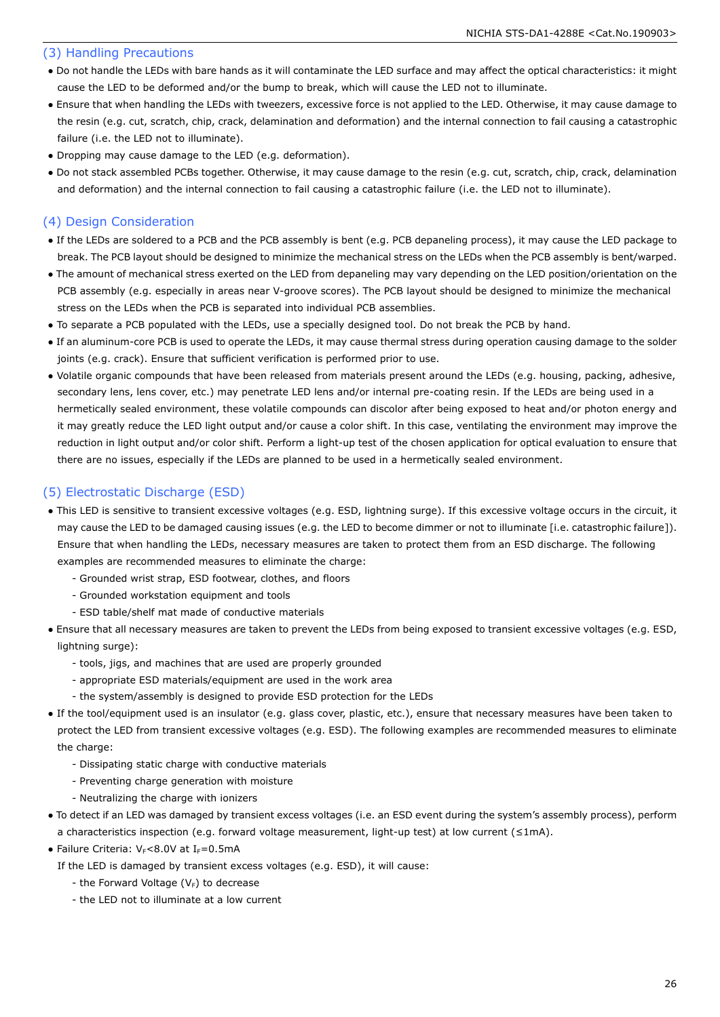#### (3) Handling Precautions

- Do not handle the LEDs with bare hands as it will contaminate the LED surface and may affect the optical characteristics: it might cause the LED to be deformed and/or the bump to break, which will cause the LED not to illuminate.
- Ensure that when handling the LEDs with tweezers, excessive force is not applied to the LED. Otherwise, it may cause damage to the resin (e.g. cut, scratch, chip, crack, delamination and deformation) and the internal connection to fail causing a catastrophic failure (i.e. the LED not to illuminate).
- Dropping may cause damage to the LED (e.g. deformation).
- Do not stack assembled PCBs together. Otherwise, it may cause damage to the resin (e.g. cut, scratch, chip, crack, delamination and deformation) and the internal connection to fail causing a catastrophic failure (i.e. the LED not to illuminate).

#### (4) Design Consideration

- If the LEDs are soldered to a PCB and the PCB assembly is bent (e.g. PCB depaneling process), it may cause the LED package to break. The PCB layout should be designed to minimize the mechanical stress on the LEDs when the PCB assembly is bent/warped.
- The amount of mechanical stress exerted on the LED from depaneling may vary depending on the LED position/orientation on the PCB assembly (e.g. especially in areas near V-groove scores). The PCB layout should be designed to minimize the mechanical stress on the LEDs when the PCB is separated into individual PCB assemblies.
- To separate a PCB populated with the LEDs, use a specially designed tool. Do not break the PCB by hand.
- If an aluminum-core PCB is used to operate the LEDs, it may cause thermal stress during operation causing damage to the solder joints (e.g. crack). Ensure that sufficient verification is performed prior to use.
- Volatile organic compounds that have been released from materials present around the LEDs (e.g. housing, packing, adhesive, secondary lens, lens cover, etc.) may penetrate LED lens and/or internal pre-coating resin. If the LEDs are being used in a hermetically sealed environment, these volatile compounds can discolor after being exposed to heat and/or photon energy and it may greatly reduce the LED light output and/or cause a color shift. In this case, ventilating the environment may improve the reduction in light output and/or color shift. Perform a light-up test of the chosen application for optical evaluation to ensure that there are no issues, especially if the LEDs are planned to be used in a hermetically sealed environment.

#### (5) Electrostatic Discharge (ESD)

- This LED is sensitive to transient excessive voltages (e.g. ESD, lightning surge). If this excessive voltage occurs in the circuit, it may cause the LED to be damaged causing issues (e.g. the LED to become dimmer or not to illuminate [i.e. catastrophic failure]). Ensure that when handling the LEDs, necessary measures are taken to protect them from an ESD discharge. The following examples are recommended measures to eliminate the charge:
	- Grounded wrist strap, ESD footwear, clothes, and floors
	- Grounded workstation equipment and tools
	- ESD table/shelf mat made of conductive materials
- Ensure that all necessary measures are taken to prevent the LEDs from being exposed to transient excessive voltages (e.g. ESD, lightning surge):
	- tools, jigs, and machines that are used are properly grounded
	- appropriate ESD materials/equipment are used in the work area
	- the system/assembly is designed to provide ESD protection for the LEDs
- If the tool/equipment used is an insulator (e.g. glass cover, plastic, etc.), ensure that necessary measures have been taken to protect the LED from transient excessive voltages (e.g. ESD). The following examples are recommended measures to eliminate the charge:
	- Dissipating static charge with conductive materials
	- Preventing charge generation with moisture
	- Neutralizing the charge with ionizers
- To detect if an LED was damaged by transient excess voltages (i.e. an ESD event during the system's assembly process), perform a characteristics inspection (e.g. forward voltage measurement, light-up test) at low current (≤1mA).
- Failure Criteria:  $V_F < 8.0V$  at I $_F = 0.5mA$ 
	- If the LED is damaged by transient excess voltages (e.g. ESD), it will cause:
		- the Forward Voltage  $(V_F)$  to decrease
		- the LED not to illuminate at a low current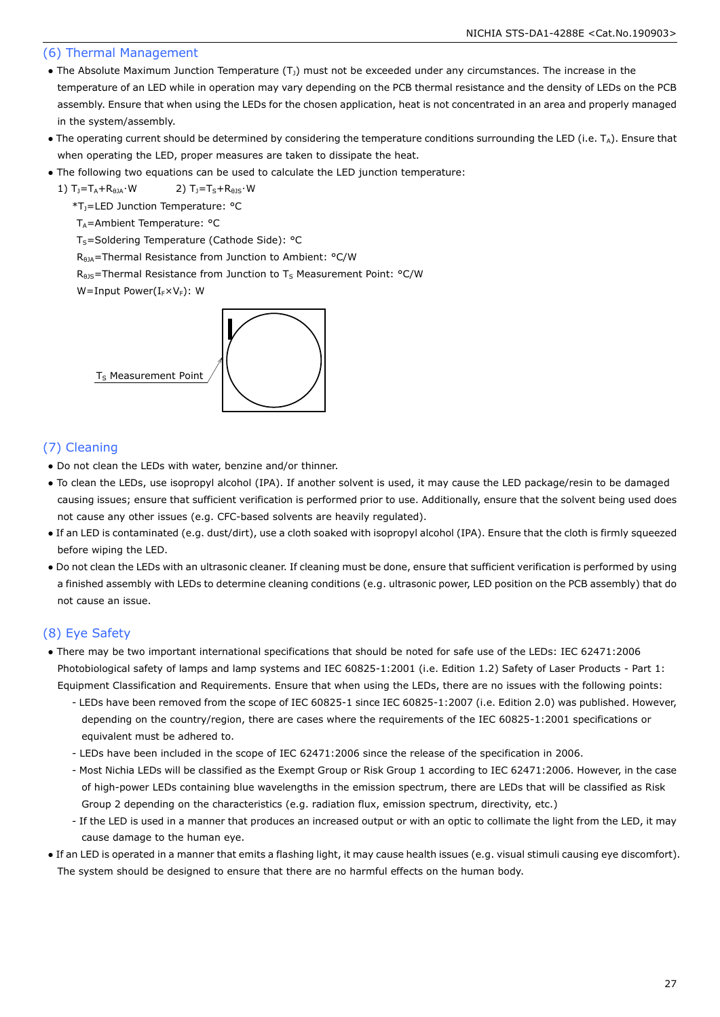#### (6) Thermal Management

- The Absolute Maximum Junction Temperature  $(T<sub>J</sub>)$  must not be exceeded under any circumstances. The increase in the temperature of an LED while in operation may vary depending on the PCB thermal resistance and the density of LEDs on the PCB assembly. Ensure that when using the LEDs for the chosen application, heat is not concentrated in an area and properly managed in the system/assembly.
- The operating current should be determined by considering the temperature conditions surrounding the LED (i.e.  $T_A$ ). Ensure that when operating the LED, proper measures are taken to dissipate the heat.
- The following two equations can be used to calculate the LED junction temperature:

1)  $T_1 = T_A + R_{\theta JA} \cdot W$  2)  $T_1 = T_S + R_{\theta JS} \cdot W$ 

\*TJ=LED Junction Temperature: °C

T<sub>A</sub>=Ambient Temperature: °C

 $T_S$ =Soldering Temperature (Cathode Side): °C

RθJA=Thermal Resistance from Junction to Ambient: °C/W

 $R_{\theta}$ <sub>B</sub>=Thermal Resistance from Junction to T<sub>S</sub> Measurement Point: °C/W

W=Input Power( $I_F\times V_F$ ): W



#### (7) Cleaning

- Do not clean the LEDs with water, benzine and/or thinner.
- To clean the LEDs, use isopropyl alcohol (IPA). If another solvent is used, it may cause the LED package/resin to be damaged causing issues; ensure that sufficient verification is performed prior to use. Additionally, ensure that the solvent being used does not cause any other issues (e.g. CFC-based solvents are heavily regulated).
- If an LED is contaminated (e.g. dust/dirt), use a cloth soaked with isopropyl alcohol (IPA). Ensure that the cloth is firmly squeezed before wiping the LED.
- Do not clean the LEDs with an ultrasonic cleaner. If cleaning must be done, ensure that sufficient verification is performed by using a finished assembly with LEDs to determine cleaning conditions (e.g. ultrasonic power, LED position on the PCB assembly) that do not cause an issue.

#### (8) Eye Safety

- There may be two important international specifications that should be noted for safe use of the LEDs: IEC 62471:2006 Photobiological safety of lamps and lamp systems and IEC 60825-1:2001 (i.e. Edition 1.2) Safety of Laser Products - Part 1: Equipment Classification and Requirements. Ensure that when using the LEDs, there are no issues with the following points:
	- LEDs have been removed from the scope of IEC 60825-1 since IEC 60825-1:2007 (i.e. Edition 2.0) was published. However, depending on the country/region, there are cases where the requirements of the IEC 60825-1:2001 specifications or equivalent must be adhered to.
	- LEDs have been included in the scope of IEC 62471:2006 since the release of the specification in 2006.
	- Most Nichia LEDs will be classified as the Exempt Group or Risk Group 1 according to IEC 62471:2006. However, in the case of high-power LEDs containing blue wavelengths in the emission spectrum, there are LEDs that will be classified as Risk Group 2 depending on the characteristics (e.g. radiation flux, emission spectrum, directivity, etc.)
	- If the LED is used in a manner that produces an increased output or with an optic to collimate the light from the LED, it may cause damage to the human eye.
- If an LED is operated in a manner that emits a flashing light, it may cause health issues (e.g. visual stimuli causing eye discomfort). The system should be designed to ensure that there are no harmful effects on the human body.